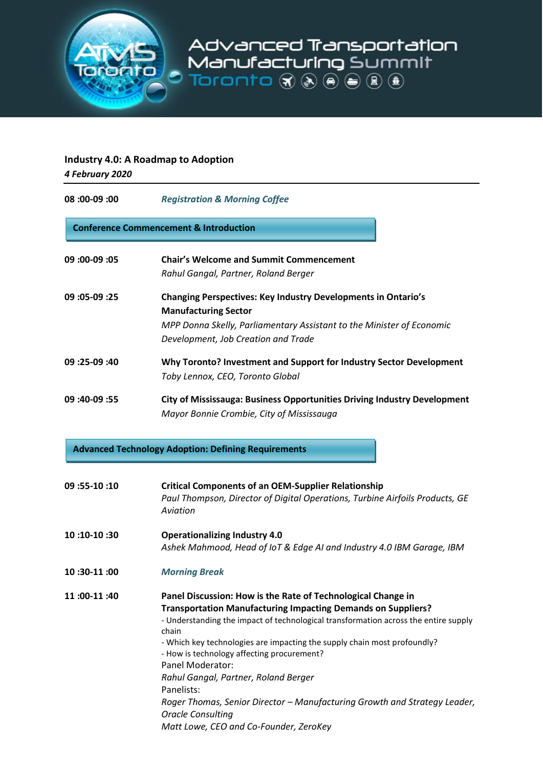

## **Industry 4.0: A Roadmap to Adoption**

*4 February 2020*

| <b>Registration &amp; Morning Coffee</b>                                                                                                                                                                                                                                                                                                                                                                                                                                                                                                         |  |  |
|--------------------------------------------------------------------------------------------------------------------------------------------------------------------------------------------------------------------------------------------------------------------------------------------------------------------------------------------------------------------------------------------------------------------------------------------------------------------------------------------------------------------------------------------------|--|--|
| <b>Conference Commencement &amp; Introduction</b>                                                                                                                                                                                                                                                                                                                                                                                                                                                                                                |  |  |
| <b>Chair's Welcome and Summit Commencement</b><br>Rahul Gangal, Partner, Roland Berger                                                                                                                                                                                                                                                                                                                                                                                                                                                           |  |  |
| <b>Changing Perspectives: Key Industry Developments in Ontario's</b><br><b>Manufacturing Sector</b><br>MPP Donna Skelly, Parliamentary Assistant to the Minister of Economic<br>Development, Job Creation and Trade                                                                                                                                                                                                                                                                                                                              |  |  |
| Why Toronto? Investment and Support for Industry Sector Development<br>Toby Lennox, CEO, Toronto Global                                                                                                                                                                                                                                                                                                                                                                                                                                          |  |  |
| City of Mississauga: Business Opportunities Driving Industry Development<br>Mayor Bonnie Crombie, City of Mississauga                                                                                                                                                                                                                                                                                                                                                                                                                            |  |  |
| <b>Advanced Technology Adoption: Defining Requirements</b>                                                                                                                                                                                                                                                                                                                                                                                                                                                                                       |  |  |
| <b>Critical Components of an OEM-Supplier Relationship</b><br>Paul Thompson, Director of Digital Operations, Turbine Airfoils Products, GE<br>Aviation                                                                                                                                                                                                                                                                                                                                                                                           |  |  |
| <b>Operationalizing Industry 4.0</b><br>Ashek Mahmood, Head of IoT & Edge AI and Industry 4.0 IBM Garage, IBM                                                                                                                                                                                                                                                                                                                                                                                                                                    |  |  |
| <b>Morning Break</b>                                                                                                                                                                                                                                                                                                                                                                                                                                                                                                                             |  |  |
| Panel Discussion: How is the Rate of Technological Change in<br><b>Transportation Manufacturing Impacting Demands on Suppliers?</b><br>- Understanding the impact of technological transformation across the entire supply<br>chain<br>- Which key technologies are impacting the supply chain most profoundly?<br>- How is technology affecting procurement?<br>Panel Moderator:<br>Rahul Gangal, Partner, Roland Berger<br>Panelists:<br>Roger Thomas, Senior Director - Manufacturing Growth and Strategy Leader,<br><b>Oracle Consulting</b> |  |  |
|                                                                                                                                                                                                                                                                                                                                                                                                                                                                                                                                                  |  |  |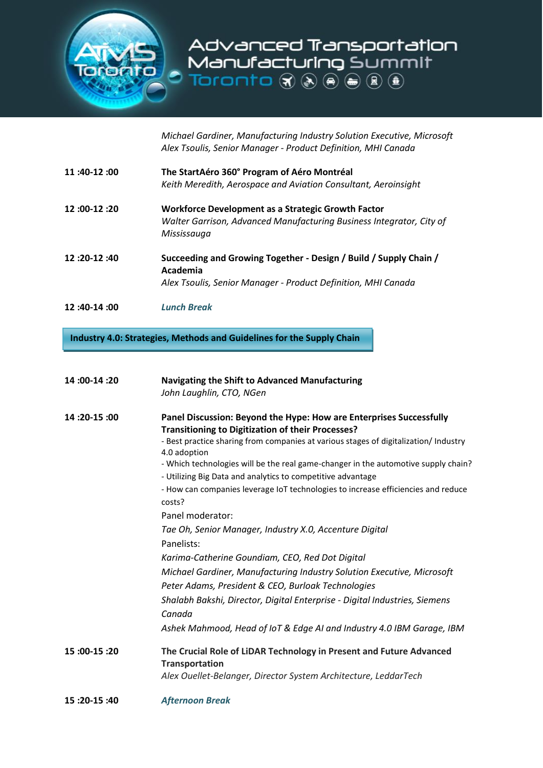

*Michael Gardiner, Manufacturing Industry Solution Executive, Microsoft Alex Tsoulis, Senior Manager - Product Definition, MHI Canada*

| 11 :40-12 :00 | The StartAéro 360° Program of Aéro Montréal<br>Keith Meredith, Aerospace and Aviation Consultant, Aeroinsight                             |
|---------------|-------------------------------------------------------------------------------------------------------------------------------------------|
| 12 :00-12 :20 | Workforce Development as a Strategic Growth Factor<br>Walter Garrison, Advanced Manufacturing Business Integrator, City of<br>Mississauga |
| 12 :20-12 :40 | Succeeding and Growing Together - Design / Build / Supply Chain /                                                                         |

- **Academia** *Alex Tsoulis, Senior Manager - Product Definition, MHI Canada*
- **12 :40-14 :00** *Lunch Break*

**Industry 4.0: Strategies, Methods and Guidelines for the Supply Chain**

| 14:00-14:20 | Navigating the Shift to Advanced Manufacturing<br>John Laughlin, CTO, NGen                                                                                                                                                                                                                                                                                                                                                                                                        |
|-------------|-----------------------------------------------------------------------------------------------------------------------------------------------------------------------------------------------------------------------------------------------------------------------------------------------------------------------------------------------------------------------------------------------------------------------------------------------------------------------------------|
| 14:20-15:00 | Panel Discussion: Beyond the Hype: How are Enterprises Successfully<br><b>Transitioning to Digitization of their Processes?</b><br>- Best practice sharing from companies at various stages of digitalization/ Industry<br>4.0 adoption<br>- Which technologies will be the real game-changer in the automotive supply chain?<br>- Utilizing Big Data and analytics to competitive advantage<br>- How can companies leverage IoT technologies to increase efficiencies and reduce |
|             | costs?<br>Panel moderator:<br>Tae Oh, Senior Manager, Industry X.0, Accenture Digital<br>Panelists:                                                                                                                                                                                                                                                                                                                                                                               |
|             | Karima-Catherine Goundiam, CEO, Red Dot Digital<br>Michael Gardiner, Manufacturing Industry Solution Executive, Microsoft<br>Peter Adams, President & CEO, Burloak Technologies                                                                                                                                                                                                                                                                                                   |
|             | Shalabh Bakshi, Director, Digital Enterprise - Digital Industries, Siemens<br>Canada<br>Ashek Mahmood, Head of IoT & Edge AI and Industry 4.0 IBM Garage, IBM                                                                                                                                                                                                                                                                                                                     |
| 15:00-15:20 | The Crucial Role of LiDAR Technology in Present and Future Advanced<br><b>Transportation</b><br>Alex Ouellet-Belanger, Director System Architecture, LeddarTech                                                                                                                                                                                                                                                                                                                   |
| 15:20-15:40 | <b>Afternoon Break</b>                                                                                                                                                                                                                                                                                                                                                                                                                                                            |